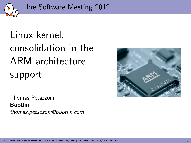

# Linux kernel: consolidation in the ARM architecture support

Thomas Petazzoni Bootlin thomas.petazzoni@bootlin.com

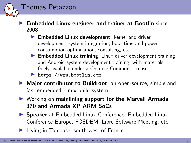

- $\blacktriangleright$  Embedded Linux engineer and trainer at Bootlin since 2008
	- $\blacktriangleright$  Embedded Linux development: kernel and driver development, system integration, boot time and power consumption optimization, consulting, etc.
	- $\blacktriangleright$  Embedded Linux training, Linux driver development training and Android system development training, with materials freely available under a Creative Commons license.
	- <https://www.bootlin.com>
- ▶ Major contributor to Buildroot, an open-source, simple and fast embedded Linux build system
- $\triangleright$  Working on mainlining support for the Marvell Armada 370 and Armada XP ARM SoCs
- **In Speaker** at Embedded Linux Conference, Embedded Linux Conference Europe, FOSDEM, Libre Software Meeting, etc.
- $\blacktriangleright$  Living in Toulouse, south west of France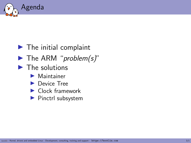

### $\blacktriangleright$  The initial complaint

- $\blacktriangleright$  The ARM "problem(s)"
- $\blacktriangleright$  The solutions
	- $\blacktriangleright$  Maintainer
	- ▶ Device Tree
	- $\blacktriangleright$  Clock framework
	- $\blacktriangleright$  Pinctrl subsystem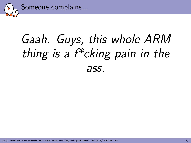

# Gaah. Guys, this whole ARM thing is a f\*cking pain in the ass.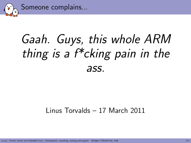

# Gaah. Guys, this whole ARM thing is a  $f^*$ cking pain in the ass.

#### Linus Torvalds – 17 March 2011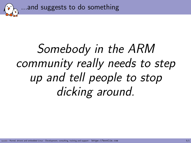...and suggests to do something

# Somebody in the ARM community really needs to step up and tell people to stop dicking around.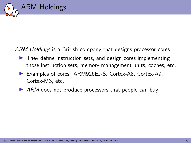

ARM Holdings is a British company that designs processor cores.

- $\blacktriangleright$  They define instruction sets, and design cores implementing those instruction sets, memory management units, caches, etc.
- ▶ Examples of cores: ARM926EJ-S, Cortex-A8, Cortex-A9, Cortex-M3, etc.
- $\triangleright$  ARM does not produce processors that people can buy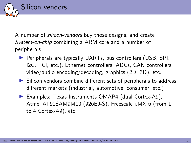

A number of silicon-vendors buy those designs, and create System-on-chip combining a ARM core and a number of peripherals

- $\triangleright$  Peripherals are typically UARTs, bus controllers (USB, SPI, I2C, PCI, etc.), Ethernet controllers, ADCs, CAN controllers, video/audio encoding/decoding, graphics (2D, 3D), etc.
- $\triangleright$  Silicon vendors combine different sets of peripherals to address different markets (industrial, automotive, consumer, etc.)
- ▶ Examples: Texas Instruments OMAP4 (dual Cortex-A9), Atmel AT91SAM9M10 (926EJ-S), Freescale i.MX 6 (from 1 to 4 Cortex-A9), etc.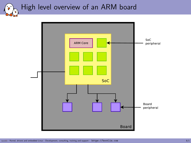High level overview of an ARM board

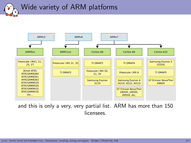### Wide variety of ARM platforms



and this is only a very, very partial list. ARM has more than 150 licensees.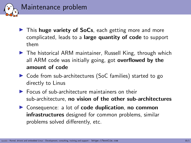

- $\triangleright$  This huge variety of SoCs, each getting more and more complicated, leads to a large quantity of code to support them
- $\blacktriangleright$  The historical ARM maintainer, Russell King, through which all ARM code was initially going, got **overflowed by the** amount of code
- ▶ Code from sub-architectures (SoC families) started to go directly to Linus
- $\blacktriangleright$  Focus of sub-architecture maintainers on their sub-architecture, no vision of the other sub-architectures
- $\triangleright$  Consequence: a lot of **code duplication**, no common infrastructures designed for common problems, similar problems solved differently, etc.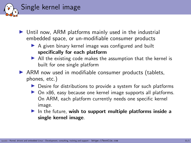

- $\triangleright$  Until now, ARM platforms mainly used in the industrial embedded space, or un-modifiable consumer products
	- $\triangleright$  A given binary kernel image was configured and built specifically for each platform
	- $\blacktriangleright$  All the existing code makes the assumption that the kernel is built for one single platform
- $\triangleright$  ARM now used in modifiable consumer products (tablets, phones, etc.)
	- $\triangleright$  Desire for distributions to provide a system for such platforms
	- $\triangleright$  On  $\times$ 86, easy because one kernel image supports all platforms. On ARM, each platform currently needs one specific kernel image.
	- In the future, wish to support multiple platforms inside a single kernel image.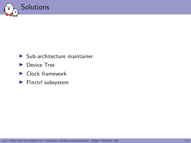

- $\blacktriangleright$  Sub-architecture maintainer
- ▶ Device Tree
- $\blacktriangleright$  Clock framework
- $\blacktriangleright$  Pinctrl subsystem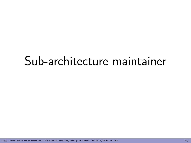## Sub-architecture maintainer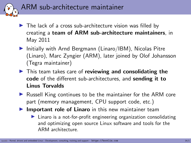

- $\blacktriangleright$  The lack of a cross sub-architecture vision was filled by creating a team of ARM sub-architecture maintainers, in May 2011
- $\blacktriangleright$  Initially with Arnd Bergmann (Linaro/IBM), Nicolas Pitre (Linaro), Marc Zyngier (ARM), later joined by Olof Johansson (Tegra maintainer)
- $\blacktriangleright$  This team takes care of reviewing and consolidating the code of the different sub-architectures, and sending it to Linus Torvalds
- $\triangleright$  Russell King continues to be the maintainer for the ARM core part (memory management, CPU support code, etc.)
- $\blacktriangleright$  Important role of Linaro in this new maintainer team
	- $\blacktriangleright$  Linaro is a not-for-profit engineering organization consolidating and optimizing open source Linux software and tools for the ARM architecture.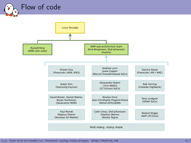

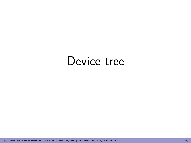## Device tree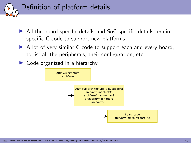

- $\triangleright$  All the board-specific details and SoC-specific details require specific C code to support new platforms
- $\triangleright$  A lot of very similar C code to support each and every board, to list all the peripherals, their configuration, etc.
- $\triangleright$  Code organized in a hierarchy

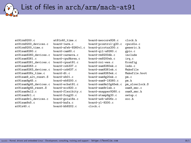List of files in arch/arm/mach-at91

.<br>'ر ु

| at91rm9200.c                 | $at91x40_time.c$    | board-neocore926.c     | clock.h        |
|------------------------------|---------------------|------------------------|----------------|
| at91rm9200 devices.c         | board-1arm.c        | board-pcontrol-g20.c   | cpuidle.c      |
| at91rm9200_time.c            | board-afeb-9260v1.c | board-picotux200.c     | generic.h      |
| at91sam9260.c                | board-cam60.c       | board-gil-a9260.c      | gpio.c         |
| at91sam9260_devices.c        | board-carmeva.c     | $board$ - $rm9200dk.c$ | include        |
| at91sam9261.c                | board-cpu9krea.c    | board-rm9200ek.c       | irq.c          |
| at91sam9261 devices.c        | board-cpuat91.c     | board-rsi-ews.c        | Kconfig        |
| at.91 <sub>sam</sub> 9263.c. | board-csb337.c      | board-sam9260ek.c      | leds.c         |
| at91sam9263_devices.c        | board-csb637.c      | board-sam9261ek.c      | Makefile       |
| at91sam926x time.c           | board-dt.c          | board-sam9263ek.c      | Makefile.boot  |
| at91sam9_alt_reset.S         | board-eb01.c        | board-sam9g20ek.c      | pm.c           |
| at91sam9g45.c                | board-eb9200.c      | board-sam9-19260.c     | pm.h           |
| at91sam9g45_devices.c        | board-ecbat91.c     | board-sam9m10g45ek.c   | pm_slowclock.S |
| at91sam9g45_reset.S          | board-eco920.c      | board-sam9rlek.c       | sam9_smc.c     |
| at91sam9n12.c                | board-flexibity.c   | board-snapper9260.c    | sam9_smc.h     |
| at91sam9rl.c                 | board-foxg20.c      | board-stamp9g20.c      | setup.c        |
| at91sam9rl_devices.c         | board-gsia18s.c     | board-usb-a926x.c      | soc.h          |
| at91sam9x5.c                 | board-kafa.c        | board-yl-9200.c        |                |
| at91x40.c                    | board-kb9202.c      | clock.c                |                |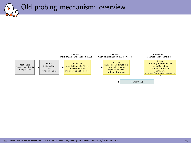Old probing mechanism: overview

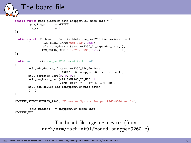

The board file registers devices (from arch/arm/mach-at91/board-snapper9260.c)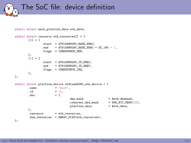The SoC file: device definition

```
static struct macb_platform_data eth_data;
static struct resource eth resources[] = {[0] = f\text{start} = \text{AT91SAM9260_BASE\_EMAC},<br>and = \text{AT91SAM9260 RASE EMAC}= AT91SAM9260 BASE EMAC + SZ 16K - 1,
                        .flags = IORESOURCE MEM.
            },
            [1] = {. start = AT91SAM9260_ID_EMAC,<br>. end = AT91SAM9260_ID_EMAC,
                                    = AT91SAM9260_ID_EMAC,
                        .flags = IORESOURCE IRQ.
           },
};
static struct platform_device at91sam9260_eth_device = {<br>name = \frac{m}{2} = \frac{m}{2} = \frac{m}{2} = \frac{m}{2} = \frac{m}{2} = \frac{m}{2} = \frac{m}{2} = \frac{m}{2} = \frac{m}{2} = \frac{m}{2} = \frac{m}{2} = \frac{m}{2} = \frac{m}{2} = = "macb".
            .id = -1,<br>dev = {
            .dev
                                                 dma mask = keth dmamask,
                                                 .coherent_dma_mask = DMA_BIT_MASK(32),<br>
.platform data = &eth data.
                                                 .platform_data
            },
            resource = eth resources.
            .num_resources = ARRAY_SIZE(eth_resources),
};
```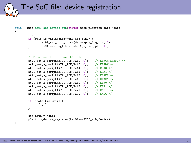The SoC file: device registration

```
void __init at91_add_device_eth(struct_macb_platform_data *data)
{
           [...]
           if (gpio is valid(data->phy_irq_pin)) {
                      at91_set_gpio_input(data->phy_irq_pin, 0);
                      at91_set_deglitch(data->phy_irq_pin, 1);
           }
           /* Pins used for MII and RMII */
           at91_set_A_periph(AT91_PIN_PA19, 0); /* ETXCK_EREFCK */<br>at91 set A periph(AT91 PIN PA17, 0): /* ERXDV */
           at91_set_A-periph(AT91_PIN_PAI7, 0); /* ERXDV *<br>at91 set A periph(AT91 PIN PA14, 0): /* ERX0 */
           at91_set_A_periph(AT91_PIN_PA14, 0); /* ERX0 */<br>at91 set A periph(AT91_PIN_PA15, 0); /* ERX1 */
           at91_set_A_periph(AT91_PIN_A15, 0);at91_set_A_periph(AT91_PIN_PA18, 0); /* ERXER */<br>at91 set A periph(AT91 PIN PA16, 0): /* ETXEN */
           at91_set_A_periph(AT91_PIN_PA16, 0);at91_set_A_periph(AT91_PIN_PA12, 0); /* ETX0 */<br>at91_set_A-periph(AT91_PIN_PA13, 0); /* ETX1 */
           at91_set_A_periph(AT91_PN_PA13, 0); /* ETX1 */<br>at91_set_A-periph(AT91_PN_PA21, 0); /* EMDI0 */
           at91_set_A-periph(AT91_PIN_PA21, 0); /* EMDIO *<br>at91 set A periph(AT91 PIN PA20, 0): /* EMDC */
           at91_set_A_periph(AT91_PIN_PA20, 0);if (!data->is_rmii) {
                   [...]
           }
           eth data = *data:
           platform_device_register(&at91sam9260_eth_device);
}
```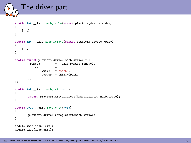### The driver part

```
static int __init macb_probe(struct platform_device *pdev)
{
    [...]
}
static int __exit macb_remove(struct platform_device *pdev)
{
    [...]
}
static struct platform_driver macb_driver = {<br>remove = exit p(macb remov.
                          = _{-}exit_p(macb_remove),
         .driver
                 .name = "macb",
                 .owner = THIS_MODULE,
        },
};
static int __ init macb_init(void)
{
        return platform_driver_probe(&macb_driver, macb_probe);
}
static void __exit macb_exit(void)
{
        platform_driver_unregister(&macb_driver);
}
module_init(macb_init);
module_exit(macb_exit);
```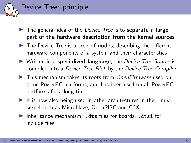

- $\blacktriangleright$  The general idea of the *Device Tree* is to **separate a large** part of the hardware description from the kernel sources
- $\blacktriangleright$  The Device Tree is a tree of nodes, describing the different hardware components of a system and their characteristics
- $\triangleright$  Written in a specialized language, the Device Tree Source is compiled into a Device Tree Blob by the Device Tree Compiler
- $\blacktriangleright$  This mechanism takes its roots from OpenFirmware used on some PowerPC platforms, and has been used on all PowerPC platforms for a long time.
- It is now also being used in other architectures in the Linux kernel such as Microblaze, OpenRISC and C6X.
- Inheritance mechanism: .dts files for boards. .dtsi for include files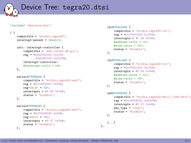

```
/include/ "skeleton.dtsi"
```

```
/ {
    compatible = "nvidia,tegra20";
    interrupt-parent = <&intc>;
    intc: interrupt-controller {
        compatible = "arm,cortex-a9-gic";
        rec = <0x50041000 0x10000x50040100 0x0100>;
        interrupt-controller;
        #interrupt-cells = <3>;
    };
    serial@70006000 {
        compatible = "nvidia,tegra20-uart";
        ref = <math>0x700060000x40</math>ree-shift = \langle 2 \rangle:
        interrupts = < 0.36 0x04>;
        status = "disable";
    };
    serial@70006040 {
        compatible = "nvidia,tegra20-uart";
        ree = <0x70006040 0x40
```
reg-shift =  $\langle 2 \rangle$ ; interrupts =  $\langle 0 \ 37 \ 0 \times 04 \rangle$ ; status = "disable";

};

```
i2c@7000c000 {
         compatible = "nvidia,tegra20-i2c";
         reg = <0x7000c000 0x100interrupts = <0 38 0x04;
         #address-cells = <1>;
         #size-cells = \langle 0 \rangle:
         status = "disable";
    };
    i2c@7000c400 {
         compatible = "nvidia,tegra20-i2c";
         ree = <0x7000c400 0x100interrupts = \langle 0 \ 84 \ 0 \times 04 \rangle;
         #address-cells = <1>;
         #size-cells = \langle 0 \rangle:
         status = "disable";
    };
    usb@c5004000 {
         compatible = "nvidia,tegra20-ehci","usb-ehci";
         reg = <0xc5004000 0x4000;
         interrupts = \langle 0 \t21 \t0x04 \rangle;
         phy_type = "ulpi";
         status = "disable";
    };
    [...]
};
```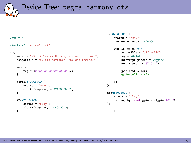Device Tree: tegra-harmony.dts

```
/dts-v1;
/include/ "tegra20.dtsi"
/ {
    model = "NVIDIA Tegra2 Harmony evaluation board";
    compatible = "nvidia,harmony", "nvidia,tegra20";
    memory {
        \text{rep} = \langle 0x00000000 \ 0x400000000 \rangle;
    };
    serial@70006300 {
        status = "okay";
        clock-frequency = <216000000;
    };
    i2c@7000c400 {
        status = "okay";
        clock-frequency = <4000000:
    };
                                                                    };
                                                                };
                                                                };
                                                                [...]
                                                           };
```

```
i2c@7000c000 {
    status = "okay";
    clock-frequency = <400000>;
    wm8903: wm8903@1a {
        comparable = "wlf,wm8903";
        rec = <0x1a:
        interrupt-parent = <&gpio>;
        interrupts = <187 0x04;
        gpio-controller;
        #gpio-cells = <2>;
        [...]
usb@c5004000 {
    status = "okay";
   nvidia,phy-reset-gpio = <&gpio 169 0>;
```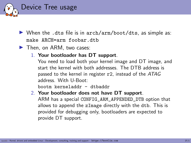

- $\triangleright$  When the .dts file is in  $\arch/\arctan/\text{boot/dts}$ , as simple as: make ARCH=arm foobar.dtb
- $\blacktriangleright$  Then, on ARM, two cases:
	- 1. Your bootloader has DT support.

You need to load both your kernel image and DT image, and start the kernel with both addresses. The DTB address is passed to the kernel in register r2, instead of the ATAG address. With U-Boot:

bootm kerneladdr - dtbaddr

#### 2. Your bootloader does not have DT support.

ARM has a special CONFIG\_ARM\_APPENDED\_DTB option that allows to append the zImage directly with the dtb. This is provided for debugging only, bootloaders are expected to provide DT support.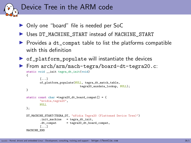

- ▶ Only one "board" file is needed per SoC
- ▶ Uses DT\_MACHINE\_START instead of MACHINE\_START
- $\triangleright$  Provides a dt\_compat table to list the platforms compatible with this definition
- $\triangleright$  of \_platform\_populate will instantiate the devices
- ▶ From arch/arm/mach-tegra/board-dt-tegra20.c: static void \_\_init tegra\_dt\_init(void)

```
{
        [...]
        of platform populate(NULL, tegra dt match table,
                                 tegra20_auxdata_lookup, NULL);
}
static const char *tegra20 dt board compat[] = {"nvidia,tegra20",
        NULL.
};
DT_MACHINE_START(TEGRA_DT, "nVidia Tegra20 (Flattened Device Tree)")
        .init_machine = tegra_dt_init,
        .dt_{\text{1}} compat = tegra20_dt_board_compat,
        [...]
MACHINE_END
```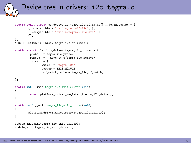

```
static const struct of_device_id tegra_i2c_of_match[] __devinitconst = {
        { .compatible = "nvidia,tegra20-i2c", },
        { .compatible = "nvidia,tegra20-i2c-dvc", },
        {},
};
MODULE_DEVICE_TABLE(of, tegra_i2c_of_match);
static struct platform driver tegra i2c driver = {
        .probe = tegra_12c_probe,.remove = __devexit_p(tegra_i2c_remove),
        .driver = {
                name = "tegra-i2c"..owner = THIS_MODULE,
                .of match table = tegra i2c of match.
        },
};
static int __init_tegra_i2c_init_driver(void)
{
        return platform driver register(&tegra_i2c_driver);
}
static void exit tegra i2c exit driver(void)
{
        platform_driver_unregister(&tegra_i2c_driver);
}
subsys_initcall(tegra_i2c_init_driver);
module_exit(tegra_i2c_exit_driver);
```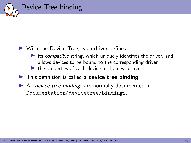

#### $\triangleright$  With the Device Tree, each driver defines:

- $\triangleright$  its compatible string, which uniquely identifies the driver, and allows devices to be bound to the corresponding driver
- $\blacktriangleright$  the properties of each device in the device tree
- $\blacktriangleright$  This definition is called a **device tree binding**
- $\blacktriangleright$  All device tree bindings are normally documented in Documentation/devicetree/bindings.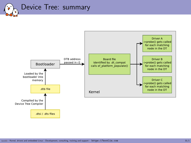

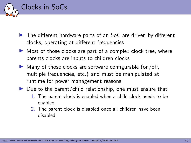

- $\triangleright$  The different hardware parts of an SoC are driven by different clocks, operating at different frequencies
- $\triangleright$  Most of those clocks are part of a complex clock tree, where parents clocks are inputs to children clocks
- $\blacktriangleright$  Many of those clocks are software configurable (on/off, multiple frequencies, etc.) and must be manipulated at runtime for power management reasons
- $\triangleright$  Due to the parent/child relationship, one must ensure that
	- 1. The parent clock is enabled when a child clock needs to be enabled
	- 2. The parent clock is disabled once all children have been disabled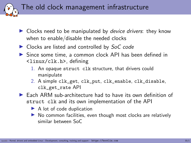The old clock management infrastructure

- $\triangleright$  Clocks need to be manipulated by *device drivers*: they know when to enable/disable the needed clocks
- $\triangleright$  Clocks are listed and controlled by SoC code
- ▶ Since some time, a common clock API has been defined in <linux/clk.h>, defining
	- 1. An opaque struct clk structure, that drivers could manipulate
	- 2. A simple clk\_get, clk\_put, clk\_enable, clk\_disable, clk\_get\_rate API
- $\triangleright$  Each ARM sub-architecture had to have its own definition of struct clk and its own implementation of the API
	- $\blacktriangleright$  A lot of code duplication
	- $\triangleright$  No common facilities, even though most clocks are relatively similar between SoC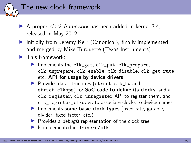

- $\triangleright$  A proper *clock framework* has been added in kernel 3.4, released in May 2012
- $\blacktriangleright$  Initially from Jeremy Kerr (Canonical), finally implemented and merged by Mike Turquette (Texas Instruments)
- $\blacktriangleright$  This framework:
	- Implements the clk\_get, clk\_put, clk\_prepare, clk\_unprepare, clk\_enable, clk\_disable, clk\_get\_rate, etc. API for usage by device drivers
	- ▶ Provides data structures (struct clk\_hw and struct clkops) for SoC code to define its clocks, and a clk\_register, clk\_unregister API to register them, and clk\_register\_clkdevs to associate clocks to device names
	- Implements some basic clock types (fixed rate, gatable, divider, fixed factor, etc.)
	- $\blacktriangleright$  Provides a *debugfs* representation of the clock tree
	- $\blacktriangleright$  Is implemented in drivers/clk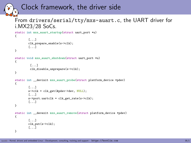### Clock framework, the driver side

#### From drivers/serial/tty/mxs-auart.c, the UART driver for i.MX23/28 SoCs.

```
static int mxs_auart_startup(struct uart_port *u)
{
        [...]
        clk_prepare_enable(s->clk);
        [...]
}
static void mxs_auart_shutdown(struct uart_port *u)
{
         [...]
         clk_disable_unprepare(s->clk);
}
static int __devinit mxs_auart_probe(struct platform_device *pdev)
{
        [...]
        s-\text{right} = c!k get(&pdev->dev, NULL);
        [...]
        s->port.uartclk = clk get rate(s->clk);
        [...]
}
static int __devexit mxs_auart_remove(struct platform_device *pdev)
{
        [...]
        clk_put(s->clk);
        [...]
}
```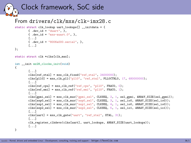```
Clock framework, SoC side
From drivers/clk/mxs/clk-imx28.c
static struct clk_lookup uart_lookups[] __initdata = {
       \{ .dev id = "duart", \},
       \{ .dev id = "mxs-auart.0", \},
       [...]
       { .dev_id = "8006a000.serial", },
        [...]
};
static struct clk *clks[clk_max];
int __init mx28_clocks_init(void)
{
       [...]
       clks[ref\_xtal] = mxs\_clk\_fixed("ref\_xtal", 24000000);clks[pll0] = mxs_clk_pll("pll0", "ref_xtal", PLL0CTRL0, 17, 4800000000);
       [...]
       clks[ref_cpu] = mxs_clk_ref("ref_cpu", "pll0", FRAC0, 0);
       clks[ref_emi] = mxs_clk_ref("ref_emi", "pll0", FRAC0, 1);
       [...]
       clks[gpmi_sel] = mxs_clk_mux("gpmi_sel", CLKSEQ, 2, 1, sel_gpmi, ARRAY_SIZE(sel_gpmi));
       clks[sspo\_sel] = mxs_clk_mux("sspo\_sel", CLKSEQ, 3, 1, selioO, ARRAY_SIZE(self.io0));clks[ssp1_sel] = mxs_clk_mux("ssp1_sel", CLKSEQ, 4, 1, sel_io0, ARRAY_SIZE(sel_io0));
       clks[ssp2_sel] = mxs_clk_mux("ssp2_sel", CLKSEQ, 5, 1, sel_io1, ARRAY_SIZE(sel_io1));
       [...]
       clks[uart] = mxs_clk_gate("uart", "ref_xtal", XTAL, 31);
       [...]
       clk_register_clkdevs(clks[uart],_uart_lookups, ARRAY_SIZE(uart_lookups));
       [...]
```

```
}
```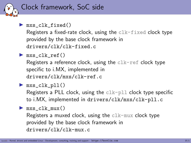

```
\blacktriangleright mxs_clk_fixed()
```
Registers a fixed-rate clock, using the clk-fixed clock type provided by the base clock framework in drivers/clk/clk-fixed.c

 $\blacktriangleright$  mxs\_clk\_ref()

Registers a reference clock, using the  $\text{clk-ref}$  clock type specific to i.MX, implemented in drivers/clk/mxs/clk-ref.c

```
\blacktriangleright mxs_clk_pll()
   Registers a PLL clock, using the \text{clk-pll} clock type specific
   to i.MX, implemented in drivers/clk/mxs/clk-pll.c
```

```
\blacktriangleright mxs_clk_mux()
   Registers a muxed clock, using the \text{clk-mux} clock type
   provided by the base clock framework in
   drivers/clk/clk-mux.c
```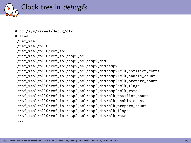

# cd /sys/kernel/debug/clk # find ./ref\_xtal ./ref\_xtal/pll0 ./ref\_xtal/pll0/ref\_io1 ./ref\_xtal/pll0/ref\_io1/ssp2\_sel ./ref\_xtal/pll0/ref\_io1/ssp2\_sel/ssp2\_div ./ref\_xtal/pll0/ref\_io1/ssp2\_sel/ssp2\_div/ssp2 ./ref\_xtal/pll0/ref\_io1/ssp2\_sel/ssp2\_div/ssp2/clk\_notifier\_count ./ref\_xtal/pll0/ref\_io1/ssp2\_sel/ssp2\_div/ssp2/clk\_enable\_count ./ref\_xtal/pll0/ref\_io1/ssp2\_sel/ssp2\_div/ssp2/clk\_prepare\_count ./ref\_xtal/pll0/ref\_io1/ssp2\_sel/ssp2\_div/ssp2/clk\_flags ./ref\_xtal/pll0/ref\_io1/ssp2\_sel/ssp2\_div/ssp2/clk\_rate ./ref\_xtal/pll0/ref\_io1/ssp2\_sel/ssp2\_div/clk\_notifier\_count ./ref\_xtal/pll0/ref\_io1/ssp2\_sel/ssp2\_div/clk\_enable\_count ./ref\_xtal/pll0/ref\_io1/ssp2\_sel/ssp2\_div/clk\_prepare\_count ./ref\_xtal/pll0/ref\_io1/ssp2\_sel/ssp2\_div/clk\_flags ./ref\_xtal/pll0/ref\_io1/ssp2\_sel/ssp2\_div/clk\_rate [...]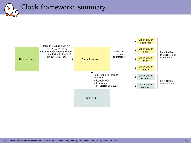### Clock framework: summary

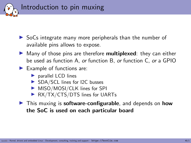

- $\triangleright$  SoCs integrate many more peripherals than the number of available pins allows to expose.
- $\blacktriangleright$  Many of those pins are therefore **multiplexed**: they can either be used as function A, or function B, or function C, or a GPIO
- $\blacktriangleright$  Example of functions are:
	- $\blacktriangleright$  parallel LCD lines
	- ▶ SDA/SCL lines for I2C busses
	- $\blacktriangleright$  MISO/MOSI/CLK lines for SPI
	- $\triangleright$  RX/TX/CTS/DTS lines for UARTs
- $\blacktriangleright$  This muxing is **software-configurable**, and depends on **how** the SoC is used on each particular board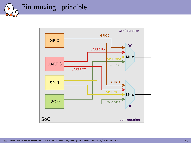

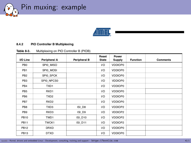Pin muxing: example



#### 8.4.2 PIO Controller B Multiplexing

#### Multiplexing on PIO Controller B (PIOB) Table 8-3.

| I/O Line        | Peripheral A     | Peripheral B | Reset<br>State | Power<br>Supply | <b>Function</b> | <b>Comments</b> |
|-----------------|------------------|--------------|----------------|-----------------|-----------------|-----------------|
| PB <sub>0</sub> | SPI0 MISO        |              | 1/O            | <b>VDDIOP0</b>  |                 |                 |
| PB <sub>1</sub> | SPI0 MOSI        |              | I/O            | <b>VDDIOP0</b>  |                 |                 |
| PB <sub>2</sub> | SPI0 SPCK        |              | 1/O            | <b>VDDIOP0</b>  |                 |                 |
| PB <sub>3</sub> | SPI0 NPCS0       |              | 1/O            | <b>VDDIOP0</b>  |                 |                 |
| PB4             | TXD1             |              | I/O            | <b>VDDIOP0</b>  |                 |                 |
| PB <sub>5</sub> | RXD1             |              | 1/O            | <b>VDDIOP0</b>  |                 |                 |
| PB <sub>6</sub> | TXD <sub>2</sub> |              | I/O            | <b>VDDIOP0</b>  |                 |                 |
| PB7             | RXD <sub>2</sub> |              | I/O            | <b>VDDIOP0</b>  |                 |                 |
| PB8             | TXD3             | ISI D8       | 1/O            | VDDIOP2         |                 |                 |
| PB <sub>9</sub> | RXD3             | ISI_D9       | 1/O            | VDDIOP2         |                 |                 |
| <b>PB10</b>     | TWD1             | ISI D10      | I/O            | VDDIOP2         |                 |                 |
| <b>PB11</b>     | TWCK1            | ISI_D11      | 1/O            | VDDIOP2         |                 |                 |
| <b>PB12</b>     | DRXD             |              | 1/O            | <b>VDDIOP0</b>  |                 |                 |
| <b>PB13</b>     | <b>DTXD</b>      |              | I/O            | <b>VDDIOP0</b>  |                 |                 |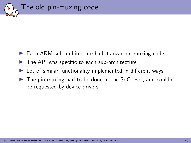

- $\blacktriangleright$  Each ARM sub-architecture had its own pin-muxing code
- $\blacktriangleright$  The API was specific to each sub-architecture
- $\blacktriangleright$  Lot of similar functionality implemented in different ways
- $\blacktriangleright$  The pin-muxing had to be done at the SoC level, and couldn't be requested by device drivers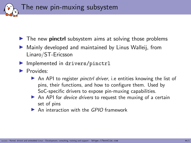The new pin-muxing subsystem

- $\triangleright$  The new **pinctri** subsystem aims at solving those problems
- $\blacktriangleright$  Mainly developed and maintained by Linus Walleij, from Linaro/ST-Ericsson
- $\blacktriangleright$  Implemented in drivers/pinctrl
- $\blacktriangleright$  Provides:
	- $\triangleright$  An API to register *pinctrl driver*, i.e entities knowing the list of pins, their functions, and how to configure them. Used by SoC-specific drivers to expose pin-muxing capabilities.
	- $\triangleright$  An API for *device drivers* to request the muxing of a certain set of pins
	- $\triangleright$  An interaction with the GPIO framework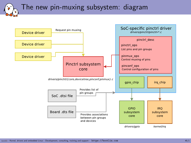### The new pin-muxing subsystem: diagram

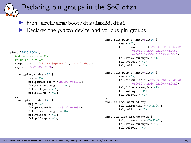### Declaring pin groups in the SoC dtsi

- ▶ From arch/arm/boot/dts/imx28.dtsi
- $\triangleright$  Declares the *pinctrl* device and various pin groups

};

```
pinctrl@80018000 {
    #address-cells = <1>;
    #size-cells = <0>:
    compatible = "fsl,imx28-pinctrl", "simple-bus";
    ref = <math>0x800180002000</math>;duart_pins_a: duart@0 {
               \texttt{reg} = \langle 0 \rangle;
               fsl,pinmux-ids = \langle 0x3102 \ \ 0x3112 \rangle;
               fsl.drive-strength = \langle 0 \rangle:
               fsl.voltage = <1>;
               fsl.pull-up = \langle 0 \rangle;
    };
    duart_pins_b: duart@1 {
               \texttt{reg} = \langle 1 \rangle;
               fsl.pinmux-ids = \langle 0x3022 \rangle 0x3032:
               fsl,drive-strength = <0>;
               fsl.voltage = \langle 1 \rangle;
               fsl.pull-up = \langle 0 \rangle;
    };
```

```
mmc0_8bit_pins_a: mmc0-8bit@0 {
         reg = \langle 0 \rangle;
         fsl,pinmux-ids = <0x2000 0x2010 0x2020
                   0x2030 0x2040 0x2050 0x2060
                   0x2070 0x2080 0x2090 0x20a0>;
         fsl,drive-strength = <1>;
         fsl.voltage = \langle 1 \rangle:
         fsl.pull-up = \langle 1 \rangle:
};
mmc0_4bit_pins_a: mmc0-4bit@0 {
         \texttt{reg} = \langle 0 \rangle;
         fsl,pinmux-ids = <0x2000 0x2010 0x2020
                   0x2030 0x2080 0x2090 0x20a0>;
         fsl,drive-strength = <1>;
         fsl.voltage = \langle 1 \rangle:
         fsl, pull-up = \langle 1 \rangle;
};
mmc0_cd_cfg: mmc0-cd-cfg {
         fsl,pinmux-ids = <0x2090;
         fsl, pull-up = \langle 0 \rangle;
};
mmc0_sck_cfg: mmc0-sck-cfg {
         fsl.pinmux-ids = <0x20a0>:
         fsl,drive-strength = <2>;
         fsl,pull-up = \langle 0 \rangle;
};
```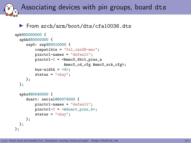Associating devices with pin groups, board dts

#### ▶ From arch/arm/boot/dts/cfa10036.dts

```
apb@80000000 {
  apbh@80000000 {
     ssp0: ssp@80010000 {
          compatible = "fsl,imx28-mmc";
          pinctrl-names = "default";
          pinctrl-0 = <&mmc0_4bit_pins_a
                        &mmc0_cd_cfg &mmc0_sck_cfg>;
          bus-width = \langle 4 \rangle:
          status = "okay";
     };
  };
  apbx@80040000 {
     duart: serial@80074000 {
          pinctrl-names = "default";
          pinctr1-0 = \langle \&</math>duart_pins_b};status = "okay";
     };
 };
};
```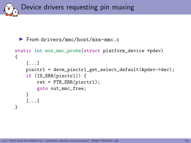Device drivers requesting pin muxing

▶ From drivers/mmc/host/mxs-mmc.c

```
static int mxs_mmc_probe(struct platform_device *pdev)
{
    [...]
    pinctrl = devm_pinctrl_get_select_default(&pdev->dev);
    if (IS_ERR(pinctrl)) {
        ret = PTR_ERR(pinctr1);goto out_mmc_free;
    }
    [...]
}
```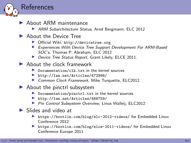

- $\blacktriangleright$  About ARM maintenance
	- ▶ ARM Subarchitecture Status, Arnd Bergmann, ELC 2012
- ▶ About the Device Tree
	- ▶ Official Wiki, <http://devicetree.org>
	- Experiences With Device Tree Support Development For ARM-Based SOC's, Thomas P. Abraham, ELC 2012
	- **Device Tree Status Report, Grant Likely, ELCE 2011.**
- $\blacktriangleright$  About the clock framework
	- $\blacktriangleright$  Documentation/clk.txt in the kernel sources
	- ▶ <http://lwn.net/Articles/472998/>
	- ▶ Common Clock Framework, Mike Turquette, ELC2012
- $\blacktriangleright$  About the pinctrl subsystem
	- $\triangleright$  Documentation/pinctrl.txt in the kernel sources
	- ▶ <http://lwn.net/Articles/468759/>
	- **Pin Control Subsystem Overview, Linus Walleij, ELC2012**
- $\blacktriangleright$  Slides and video at
	- <sup>I</sup> <https://bootlin.com/blog/elc-2012-videos/> for Embedded Linux Conference 2012
	- > <https://bootlin.com/blog/elce-2011-videos/> for Embedded Linux Conference Europe 2011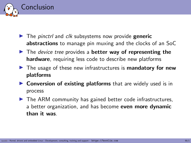

- $\blacktriangleright$  The pinctrl and clk subsystems now provide generic abstractions to manage pin muxing and the clocks of an SoC
- $\blacktriangleright$  The *device tree* provides a **better way of representing the** hardware, requiring less code to describe new platforms
- $\blacktriangleright$  The usage of these new infrastructures is mandatory for new platforms
- $\triangleright$  Conversion of existing platforms that are widely used is in process
- $\blacktriangleright$  The ARM community has gained better code infrastructures, a better organization, and has become **even more dynamic** than it was.